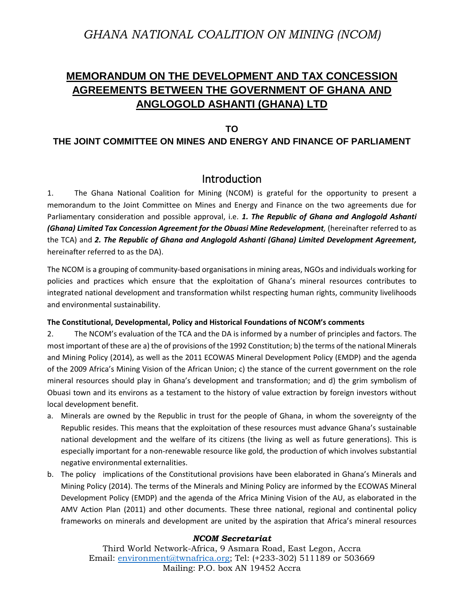# *GHANA NATIONAL COALITION ON MINING (NCOM)*

# **MEMORANDUM ON THE DEVELOPMENT AND TAX CONCESSION AGREEMENTS BETWEEN THE GOVERNMENT OF GHANA AND ANGLOGOLD ASHANTI (GHANA) LTD**

## **TO**

## **THE JOINT COMMITTEE ON MINES AND ENERGY AND FINANCE OF PARLIAMENT**

## Introduction

1. The Ghana National Coalition for Mining (NCOM) is grateful for the opportunity to present a memorandum to the Joint Committee on Mines and Energy and Finance on the two agreements due for Parliamentary consideration and possible approval, i.e. *1. The Republic of Ghana and Anglogold Ashanti (Ghana) Limited Tax Concession Agreement for the Obuasi Mine Redevelopment,* (hereinafter referred to as the TCA) and *2. The Republic of Ghana and Anglogold Ashanti (Ghana) Limited Development Agreement,*  hereinafter referred to as the DA).

The NCOM is a grouping of community-based organisations in mining areas, NGOs and individuals working for policies and practices which ensure that the exploitation of Ghana's mineral resources contributes to integrated national development and transformation whilst respecting human rights, community livelihoods and environmental sustainability.

### **The Constitutional, Developmental, Policy and Historical Foundations of NCOM's comments**

2. The NCOM's evaluation of the TCA and the DA is informed by a number of principles and factors. The most important of these are a) the of provisions of the 1992 Constitution; b) the terms of the national Minerals and Mining Policy (2014), as well as the 2011 ECOWAS Mineral Development Policy (EMDP) and the agenda of the 2009 Africa's Mining Vision of the African Union; c) the stance of the current government on the role mineral resources should play in Ghana's development and transformation; and d) the grim symbolism of Obuasi town and its environs as a testament to the history of value extraction by foreign investors without local development benefit.

- a. Minerals are owned by the Republic in trust for the people of Ghana, in whom the sovereignty of the Republic resides. This means that the exploitation of these resources must advance Ghana's sustainable national development and the welfare of its citizens (the living as well as future generations). This is especially important for a non-renewable resource like gold, the production of which involves substantial negative environmental externalities.
- b. The policy implications of the Constitutional provisions have been elaborated in Ghana's Minerals and Mining Policy (2014). The terms of the Minerals and Mining Policy are informed by the ECOWAS Mineral Development Policy (EMDP) and the agenda of the Africa Mining Vision of the AU, as elaborated in the AMV Action Plan (2011) and other documents. These three national, regional and continental policy frameworks on minerals and development are united by the aspiration that Africa's mineral resources

### *NCOM Secretariat*

Third World Network-Africa, 9 Asmara Road, East Legon, Accra Email: [environment@twnafrica.org;](mailto:environment@twnafrica.org) Tel: (+233-302) 511189 or 503669 Mailing: P.O. box AN 19452 Accra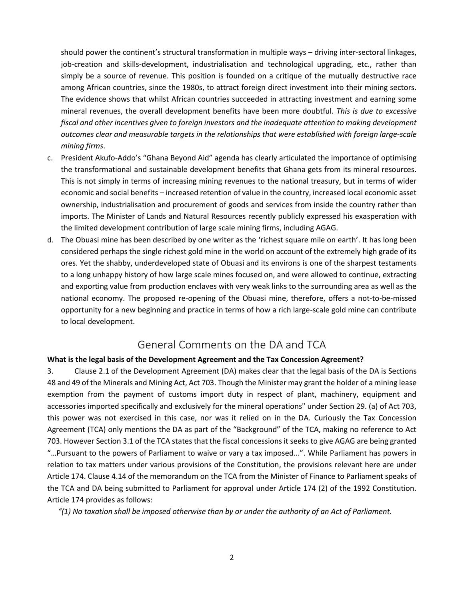should power the continent's structural transformation in multiple ways – driving inter-sectoral linkages, job-creation and skills-development, industrialisation and technological upgrading, etc., rather than simply be a source of revenue. This position is founded on a critique of the mutually destructive race among African countries, since the 1980s, to attract foreign direct investment into their mining sectors. The evidence shows that whilst African countries succeeded in attracting investment and earning some mineral revenues, the overall development benefits have been more doubtful. *This is due to excessive fiscal and other incentives given to foreign investors and the inadequate attention to making development outcomes clear and measurable targets in the relationships that were established with foreign large-scale mining firms*.

- c. President Akufo-Addo's "Ghana Beyond Aid" agenda has clearly articulated the importance of optimising the transformational and sustainable development benefits that Ghana gets from its mineral resources. This is not simply in terms of increasing mining revenues to the national treasury, but in terms of wider economic and social benefits – increased retention of value in the country, increased local economic asset ownership, industrialisation and procurement of goods and services from inside the country rather than imports. The Minister of Lands and Natural Resources recently publicly expressed his exasperation with the limited development contribution of large scale mining firms, including AGAG.
- d. The Obuasi mine has been described by one writer as the 'richest square mile on earth'. It has long been considered perhaps the single richest gold mine in the world on account of the extremely high grade of its ores. Yet the shabby, underdeveloped state of Obuasi and its environs is one of the sharpest testaments to a long unhappy history of how large scale mines focused on, and were allowed to continue, extracting and exporting value from production enclaves with very weak links to the surrounding area as well as the national economy. The proposed re-opening of the Obuasi mine, therefore, offers a not-to-be-missed opportunity for a new beginning and practice in terms of how a rich large-scale gold mine can contribute to local development.

# General Comments on the DA and TCA

### **What is the legal basis of the Development Agreement and the Tax Concession Agreement?**

3. Clause 2.1 of the Development Agreement (DA) makes clear that the legal basis of the DA is Sections 48 and 49 of the Minerals and Mining Act, Act 703. Though the Minister may grant the holder of a mining lease exemption from the payment of customs import duty in respect of plant, machinery, equipment and accessories imported specifically and exclusively for the mineral operations" under Section 29. (a) of Act 703, this power was not exercised in this case, nor was it relied on in the DA. Curiously the Tax Concession Agreement (TCA) only mentions the DA as part of the "Background" of the TCA, making no reference to Act 703. However Section 3.1 of the TCA states that the fiscal concessions it seeks to give AGAG are being granted "…Pursuant to the powers of Parliament to waive or vary a tax imposed...". While Parliament has powers in relation to tax matters under various provisions of the Constitution, the provisions relevant here are under Article 174. Clause 4.14 of the memorandum on the TCA from the Minister of Finance to Parliament speaks of the TCA and DA being submitted to Parliament for approval under Article 174 (2) of the 1992 Constitution. Article 174 provides as follows:

*"(1) No taxation shall be imposed otherwise than by or under the authority of an Act of Parliament.*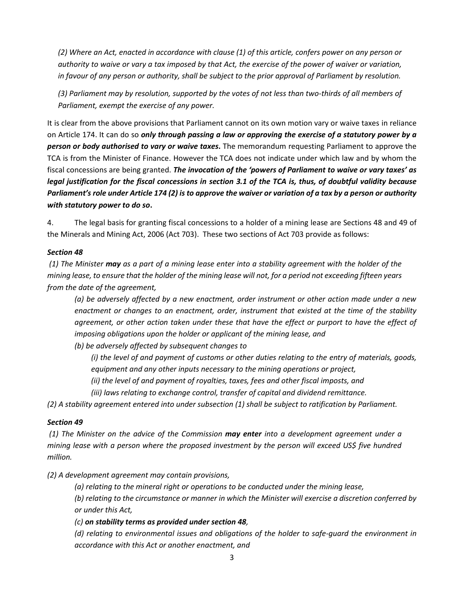*(2) Where an Act, enacted in accordance with clause (1) of this article, confers power on any person or authority to waive or vary a tax imposed by that Act, the exercise of the power of waiver or variation, in favour of any person or authority, shall be subject to the prior approval of Parliament by resolution.*

*(3) Parliament may by resolution, supported by the votes of not less than two-thirds of all members of Parliament, exempt the exercise of any power.* 

It is clear from the above provisions that Parliament cannot on its own motion vary or waive taxes in reliance on Article 174. It can do so *only through passing a law or approving the exercise of a statutory power by a person or body authorised to vary or waive taxes***.** The memorandum requesting Parliament to approve the TCA is from the Minister of Finance. However the TCA does not indicate under which law and by whom the fiscal concessions are being granted. *The invocation of the 'powers of Parliament to waive or vary taxes' as legal justification for the fiscal concessions in section 3.1 of the TCA is, thus, of doubtful validity because Parliament's role under Article 174 (2) is to approve the waiver or variation of a tax by a person or authority with statutory power to do so***.** 

4. The legal basis for granting fiscal concessions to a holder of a mining lease are Sections 48 and 49 of the Minerals and Mining Act, 2006 (Act 703). These two sections of Act 703 provide as follows:

## *Section 48*

*(1) The Minister may as a part of a mining lease enter into a stability agreement with the holder of the mining lease, to ensure that the holder of the mining lease will not, for a period not exceeding fifteen years from the date of the agreement,*

*(a) be adversely affected by a new enactment, order instrument or other action made under a new enactment or changes to an enactment, order, instrument that existed at the time of the stability agreement, or other action taken under these that have the effect or purport to have the effect of imposing obligations upon the holder or applicant of the mining lease, and*

*(b) be adversely affected by subsequent changes to*

*(i) the level of and payment of customs or other duties relating to the entry of materials, goods, equipment and any other inputs necessary to the mining operations or project,*

*(ii) the level of and payment of royalties, taxes, fees and other fiscal imposts, and*

*(iii) laws relating to exchange control, transfer of capital and dividend remittance.*

*(2) A stability agreement entered into under subsection (1) shall be subject to ratification by Parliament.*

### *Section 49*

*(1) The Minister on the advice of the Commission may enter into a development agreement under a mining lease with a person where the proposed investment by the person will exceed US\$ five hundred million.*

*(2) A development agreement may contain provisions,*

*(a) relating to the mineral right or operations to be conducted under the mining lease,*

*(b) relating to the circumstance or manner in which the Minister will exercise a discretion conferred by or under this Act,*

## *(c) on stability terms as provided under section 48,*

*(d) relating to environmental issues and obligations of the holder to safe-guard the environment in accordance with this Act or another enactment, and*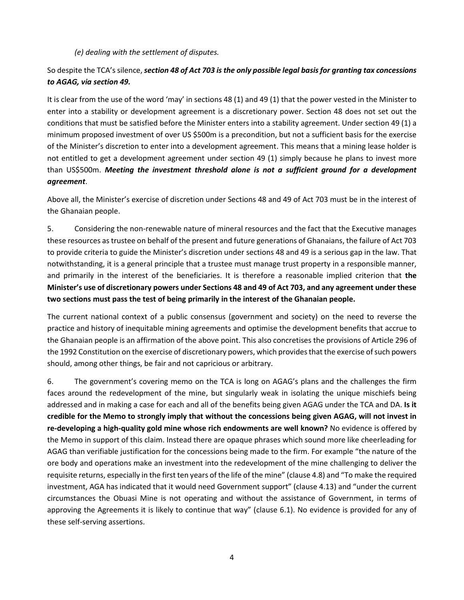*(e) dealing with the settlement of disputes.*

## So despite the TCA's silence, *section 48 of Act 703 is the only possible legal basis for granting tax concessions to AGAG, via section 49.*

It is clear from the use of the word 'may' in sections 48 (1) and 49 (1) that the power vested in the Minister to enter into a stability or development agreement is a discretionary power. Section 48 does not set out the conditions that must be satisfied before the Minister enters into a stability agreement. Under section 49 (1) a minimum proposed investment of over US \$500m is a precondition, but not a sufficient basis for the exercise of the Minister's discretion to enter into a development agreement. This means that a mining lease holder is not entitled to get a development agreement under section 49 (1) simply because he plans to invest more than US\$500m. *Meeting the investment threshold alone is not a sufficient ground for a development agreement*.

Above all, the Minister's exercise of discretion under Sections 48 and 49 of Act 703 must be in the interest of the Ghanaian people.

5. Considering the non-renewable nature of mineral resources and the fact that the Executive manages these resources as trustee on behalf of the present and future generations of Ghanaians, the failure of Act 703 to provide criteria to guide the Minister's discretion under sections 48 and 49 is a serious gap in the law. That notwithstanding, it is a general principle that a trustee must manage trust property in a responsible manner, and primarily in the interest of the beneficiaries. It is therefore a reasonable implied criterion that **the Minister's use of discretionary powers under Sections 48 and 49 of Act 703, and any agreement under these two sections must pass the test of being primarily in the interest of the Ghanaian people.**

The current national context of a public consensus (government and society) on the need to reverse the practice and history of inequitable mining agreements and optimise the development benefits that accrue to the Ghanaian people is an affirmation of the above point. This also concretises the provisions of Article 296 of the 1992 Constitution on the exercise of discretionary powers, which provides that the exercise of such powers should, among other things, be fair and not capricious or arbitrary.

6. The government's covering memo on the TCA is long on AGAG's plans and the challenges the firm faces around the redevelopment of the mine, but singularly weak in isolating the unique mischiefs being addressed and in making a case for each and all of the benefits being given AGAG under the TCA and DA. **Is it credible for the Memo to strongly imply that without the concessions being given AGAG, will not invest in re-developing a high-quality gold mine whose rich endowments are well known?** No evidence is offered by the Memo in support of this claim. Instead there are opaque phrases which sound more like cheerleading for AGAG than verifiable justification for the concessions being made to the firm. For example "the nature of the ore body and operations make an investment into the redevelopment of the mine challenging to deliver the requisite returns, especially in the first ten years of the life of the mine" (clause 4.8) and "To make the required investment, AGA has indicated that it would need Government support" (clause 4.13) and "under the current circumstances the Obuasi Mine is not operating and without the assistance of Government, in terms of approving the Agreements it is likely to continue that way" (clause 6.1). No evidence is provided for any of these self-serving assertions.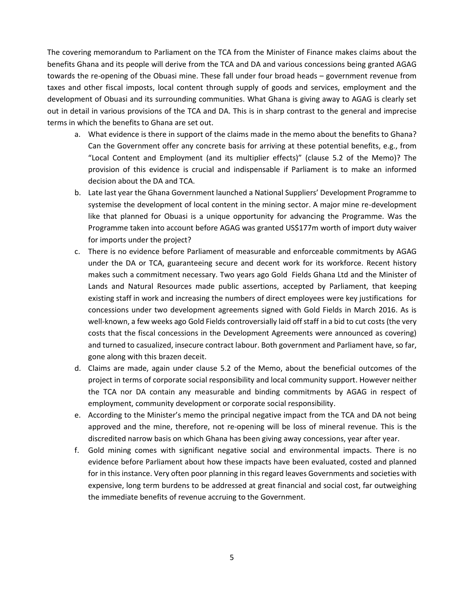The covering memorandum to Parliament on the TCA from the Minister of Finance makes claims about the benefits Ghana and its people will derive from the TCA and DA and various concessions being granted AGAG towards the re-opening of the Obuasi mine. These fall under four broad heads – government revenue from taxes and other fiscal imposts, local content through supply of goods and services, employment and the development of Obuasi and its surrounding communities. What Ghana is giving away to AGAG is clearly set out in detail in various provisions of the TCA and DA. This is in sharp contrast to the general and imprecise terms in which the benefits to Ghana are set out.

- a. What evidence is there in support of the claims made in the memo about the benefits to Ghana? Can the Government offer any concrete basis for arriving at these potential benefits, e.g., from "Local Content and Employment (and its multiplier effects)" (clause 5.2 of the Memo)? The provision of this evidence is crucial and indispensable if Parliament is to make an informed decision about the DA and TCA.
- b. Late last year the Ghana Government launched a National Suppliers' Development Programme to systemise the development of local content in the mining sector. A major mine re-development like that planned for Obuasi is a unique opportunity for advancing the Programme. Was the Programme taken into account before AGAG was granted US\$177m worth of import duty waiver for imports under the project?
- c. There is no evidence before Parliament of measurable and enforceable commitments by AGAG under the DA or TCA, guaranteeing secure and decent work for its workforce. Recent history makes such a commitment necessary. Two years ago Gold Fields Ghana Ltd and the Minister of Lands and Natural Resources made public assertions, accepted by Parliament, that keeping existing staff in work and increasing the numbers of direct employees were key justifications for concessions under two development agreements signed with Gold Fields in March 2016. As is well-known, a few weeks ago Gold Fields controversially laid off staff in a bid to cut costs (the very costs that the fiscal concessions in the Development Agreements were announced as covering) and turned to casualized, insecure contract labour. Both government and Parliament have, so far, gone along with this brazen deceit.
- d. Claims are made, again under clause 5.2 of the Memo, about the beneficial outcomes of the project in terms of corporate social responsibility and local community support. However neither the TCA nor DA contain any measurable and binding commitments by AGAG in respect of employment, community development or corporate social responsibility.
- e. According to the Minister's memo the principal negative impact from the TCA and DA not being approved and the mine, therefore, not re-opening will be loss of mineral revenue. This is the discredited narrow basis on which Ghana has been giving away concessions, year after year.
- f. Gold mining comes with significant negative social and environmental impacts. There is no evidence before Parliament about how these impacts have been evaluated, costed and planned for in this instance. Very often poor planning in this regard leaves Governments and societies with expensive, long term burdens to be addressed at great financial and social cost, far outweighing the immediate benefits of revenue accruing to the Government.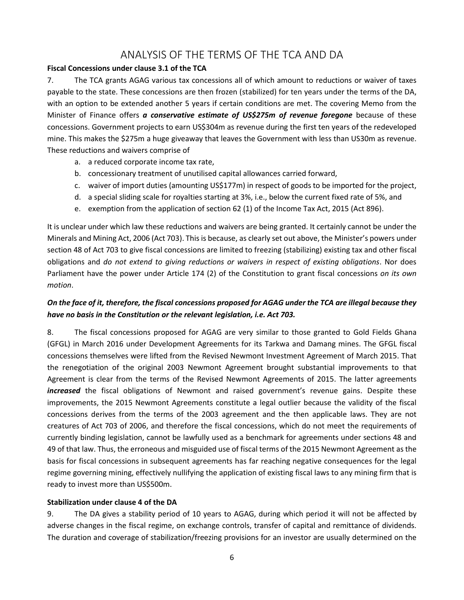## ANALYSIS OF THE TERMS OF THE TCA AND DA

## **Fiscal Concessions under clause 3.1 of the TCA**

7. The TCA grants AGAG various tax concessions all of which amount to reductions or waiver of taxes payable to the state. These concessions are then frozen (stabilized) for ten years under the terms of the DA, with an option to be extended another 5 years if certain conditions are met. The covering Memo from the Minister of Finance offers *a conservative estimate of US\$275m of revenue foregone* because of these concessions. Government projects to earn US\$304m as revenue during the first ten years of the redeveloped mine. This makes the \$275m a huge giveaway that leaves the Government with less than US30m as revenue. These reductions and waivers comprise of

- a. a reduced corporate income tax rate,
- b. concessionary treatment of unutilised capital allowances carried forward,
- c. waiver of import duties (amounting US\$177m) in respect of goods to be imported for the project,
- d. a special sliding scale for royalties starting at 3%, i.e., below the current fixed rate of 5%, and
- e. exemption from the application of section 62 (1) of the Income Tax Act, 2015 (Act 896).

It is unclear under which law these reductions and waivers are being granted. It certainly cannot be under the Minerals and Mining Act, 2006 (Act 703). This is because, as clearly set out above, the Minister's powers under section 48 of Act 703 to give fiscal concessions are limited to freezing (stabilizing) existing tax and other fiscal obligations and *do not extend to giving reductions or waivers in respect of existing obligations*. Nor does Parliament have the power under Article 174 (2) of the Constitution to grant fiscal concessions *on its own motion*.

## *On the face of it, therefore, the fiscal concessions proposed for AGAG under the TCA are illegal because they have no basis in the Constitution or the relevant legislation, i.e. Act 703.*

8. The fiscal concessions proposed for AGAG are very similar to those granted to Gold Fields Ghana (GFGL) in March 2016 under Development Agreements for its Tarkwa and Damang mines. The GFGL fiscal concessions themselves were lifted from the Revised Newmont Investment Agreement of March 2015. That the renegotiation of the original 2003 Newmont Agreement brought substantial improvements to that Agreement is clear from the terms of the Revised Newmont Agreements of 2015. The latter agreements *increased* the fiscal obligations of Newmont and raised government's revenue gains. Despite these improvements, the 2015 Newmont Agreements constitute a legal outlier because the validity of the fiscal concessions derives from the terms of the 2003 agreement and the then applicable laws. They are not creatures of Act 703 of 2006, and therefore the fiscal concessions, which do not meet the requirements of currently binding legislation, cannot be lawfully used as a benchmark for agreements under sections 48 and 49 of that law. Thus, the erroneous and misguided use of fiscal terms of the 2015 Newmont Agreement as the basis for fiscal concessions in subsequent agreements has far reaching negative consequences for the legal regime governing mining, effectively nullifying the application of existing fiscal laws to any mining firm that is ready to invest more than US\$500m.

### **Stabilization under clause 4 of the DA**

9. The DA gives a stability period of 10 years to AGAG, during which period it will not be affected by adverse changes in the fiscal regime, on exchange controls, transfer of capital and remittance of dividends. The duration and coverage of stabilization/freezing provisions for an investor are usually determined on the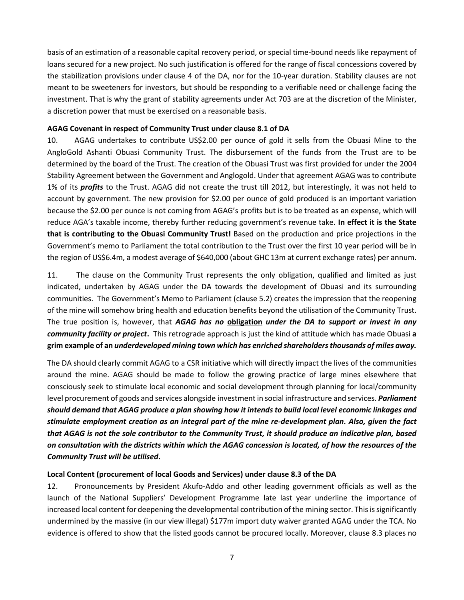basis of an estimation of a reasonable capital recovery period, or special time-bound needs like repayment of loans secured for a new project. No such justification is offered for the range of fiscal concessions covered by the stabilization provisions under clause 4 of the DA, nor for the 10-year duration. Stability clauses are not meant to be sweeteners for investors, but should be responding to a verifiable need or challenge facing the investment. That is why the grant of stability agreements under Act 703 are at the discretion of the Minister, a discretion power that must be exercised on a reasonable basis.

#### **AGAG Covenant in respect of Community Trust under clause 8.1 of DA**

10. AGAG undertakes to contribute US\$2.00 per ounce of gold it sells from the Obuasi Mine to the AngloGold Ashanti Obuasi Community Trust. The disbursement of the funds from the Trust are to be determined by the board of the Trust. The creation of the Obuasi Trust was first provided for under the 2004 Stability Agreement between the Government and Anglogold. Under that agreement AGAG was to contribute 1% of its *profits* to the Trust. AGAG did not create the trust till 2012, but interestingly, it was not held to account by government. The new provision for \$2.00 per ounce of gold produced is an important variation because the \$2.00 per ounce is not coming from AGAG's profits but is to be treated as an expense, which will reduce AGA's taxable income, thereby further reducing government's revenue take. **In effect it is the State that is contributing to the Obuasi Community Trust!** Based on the production and price projections in the Government's memo to Parliament the total contribution to the Trust over the first 10 year period will be in the region of US\$6.4m, a modest average of \$640,000 (about GHC 13m at current exchange rates) per annum.

11. The clause on the Community Trust represents the only obligation, qualified and limited as just indicated, undertaken by AGAG under the DA towards the development of Obuasi and its surrounding communities. The Government's Memo to Parliament (clause 5.2) creates the impression that the reopening of the mine will somehow bring health and education benefits beyond the utilisation of the Community Trust. The true position is, however, that *AGAG has no* **obligation** *under the DA to support or invest in any community facility or project***.** This retrograde approach is just the kind of attitude which has made Obuasi **a grim example of an** *underdeveloped mining town which has enriched shareholders thousands of miles away.*

The DA should clearly commit AGAG to a CSR initiative which will directly impact the lives of the communities around the mine. AGAG should be made to follow the growing practice of large mines elsewhere that consciously seek to stimulate local economic and social development through planning for local/community level procurement of goods and services alongside investment in social infrastructure and services. *Parliament should demand that AGAG produce a plan showing how it intends to build local level economic linkages and stimulate employment creation as an integral part of the mine re-development plan. Also, given the fact that AGAG is not the sole contributor to the Community Trust, it should produce an indicative plan, based on consultation with the districts within which the AGAG concession is located, of how the resources of the Community Trust will be utilised***.**

### **Local Content (procurement of local Goods and Services) under clause 8.3 of the DA**

12. Pronouncements by President Akufo-Addo and other leading government officials as well as the launch of the National Suppliers' Development Programme late last year underline the importance of increased local content for deepening the developmental contribution of the mining sector. This is significantly undermined by the massive (in our view illegal) \$177m import duty waiver granted AGAG under the TCA. No evidence is offered to show that the listed goods cannot be procured locally. Moreover, clause 8.3 places no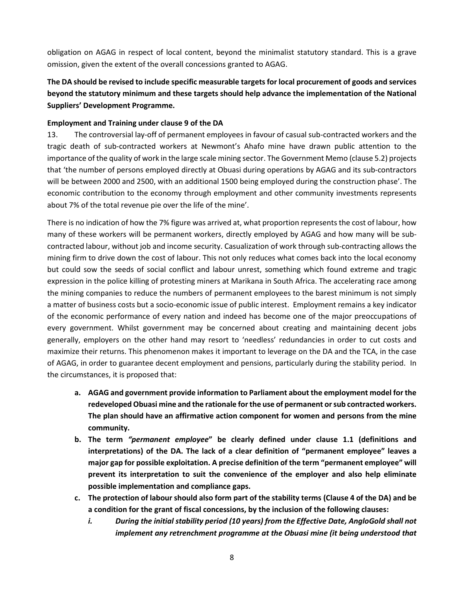obligation on AGAG in respect of local content, beyond the minimalist statutory standard. This is a grave omission, given the extent of the overall concessions granted to AGAG.

## **The DA should be revised to include specific measurable targets for local procurement of goods and services beyond the statutory minimum and these targets should help advance the implementation of the National Suppliers' Development Programme.**

## **Employment and Training under clause 9 of the DA**

13. The controversial lay-off of permanent employees in favour of casual sub-contracted workers and the tragic death of sub-contracted workers at Newmont's Ahafo mine have drawn public attention to the importance of the quality of work in the large scale mining sector. The Government Memo (clause 5.2) projects that 'the number of persons employed directly at Obuasi during operations by AGAG and its sub-contractors will be between 2000 and 2500, with an additional 1500 being employed during the construction phase'. The economic contribution to the economy through employment and other community investments represents about 7% of the total revenue pie over the life of the mine'.

There is no indication of how the 7% figure was arrived at, what proportion represents the cost of labour, how many of these workers will be permanent workers, directly employed by AGAG and how many will be subcontracted labour, without job and income security. Casualization of work through sub-contracting allows the mining firm to drive down the cost of labour. This not only reduces what comes back into the local economy but could sow the seeds of social conflict and labour unrest, something which found extreme and tragic expression in the police killing of protesting miners at Marikana in South Africa. The accelerating race among the mining companies to reduce the numbers of permanent employees to the barest minimum is not simply a matter of business costs but a socio-economic issue of public interest. Employment remains a key indicator of the economic performance of every nation and indeed has become one of the major preoccupations of every government. Whilst government may be concerned about creating and maintaining decent jobs generally, employers on the other hand may resort to 'needless' redundancies in order to cut costs and maximize their returns. This phenomenon makes it important to leverage on the DA and the TCA, in the case of AGAG, in order to guarantee decent employment and pensions, particularly during the stability period. In the circumstances, it is proposed that:

- **a. AGAG and government provide information to Parliament about the employment model for the redeveloped Obuasi mine and the rationale for the use of permanent or sub contracted workers. The plan should have an affirmative action component for women and persons from the mine community.**
- **b. The term** *"permanent employee***" be clearly defined under clause 1.1 (definitions and interpretations) of the DA. The lack of a clear definition of "permanent employee" leaves a major gap for possible exploitation. A precise definition of the term "permanent employee" will prevent its interpretation to suit the convenience of the employer and also help eliminate possible implementation and compliance gaps.**
- **c. The protection of labour should also form part of the stability terms (Clause 4 of the DA) and be a condition for the grant of fiscal concessions, by the inclusion of the following clauses:** 
	- *i. During the initial stability period (10 years) from the Effective Date, AngloGold shall not implement any retrenchment programme at the Obuasi mine (it being understood that*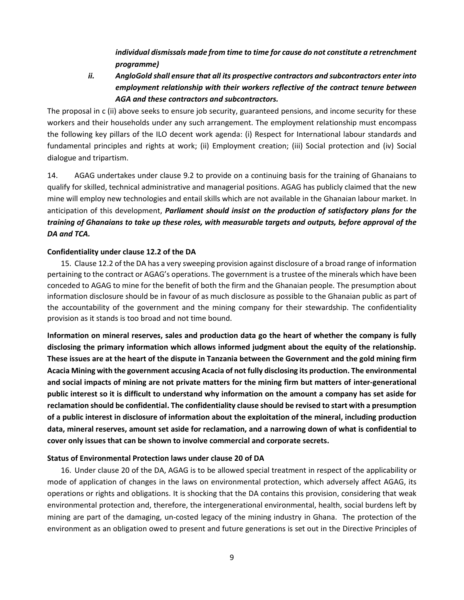*individual dismissals made from time to time for cause do not constitute a retrenchment programme)*

## *ii. AngloGold shall ensure that all its prospective contractors and subcontractors enter into employment relationship with their workers reflective of the contract tenure between AGA and these contractors and subcontractors.*

The proposal in c (ii) above seeks to ensure job security, guaranteed pensions, and income security for these workers and their households under any such arrangement. The employment relationship must encompass the following key pillars of the ILO decent work agenda: (i) Respect for International labour standards and fundamental principles and rights at work; (ii) Employment creation; (iii) Social protection and (iv) Social dialogue and tripartism.

14. AGAG undertakes under clause 9.2 to provide on a continuing basis for the training of Ghanaians to qualify for skilled, technical administrative and managerial positions. AGAG has publicly claimed that the new mine will employ new technologies and entail skills which are not available in the Ghanaian labour market. In anticipation of this development, *Parliament should insist on the production of satisfactory plans for the training of Ghanaians to take up these roles, with measurable targets and outputs, before approval of the DA and TCA.*

#### **Confidentiality under clause 12.2 of the DA**

15. Clause 12.2 of the DA has a very sweeping provision against disclosure of a broad range of information pertaining to the contract or AGAG's operations. The government is a trustee of the minerals which have been conceded to AGAG to mine for the benefit of both the firm and the Ghanaian people. The presumption about information disclosure should be in favour of as much disclosure as possible to the Ghanaian public as part of the accountability of the government and the mining company for their stewardship. The confidentiality provision as it stands is too broad and not time bound.

**Information on mineral reserves, sales and production data go the heart of whether the company is fully disclosing the primary information which allows informed judgment about the equity of the relationship. These issues are at the heart of the dispute in Tanzania between the Government and the gold mining firm Acacia Mining with the government accusing Acacia of not fully disclosing its production. The environmental and social impacts of mining are not private matters for the mining firm but matters of inter-generational public interest so it is difficult to understand why information on the amount a company has set aside for reclamation should be confidential. The confidentiality clause should be revised to start with a presumption of a public interest in disclosure of information about the exploitation of the mineral, including production data, mineral reserves, amount set aside for reclamation, and a narrowing down of what is confidential to cover only issues that can be shown to involve commercial and corporate secrets.** 

#### **Status of Environmental Protection laws under clause 20 of DA**

16. Under clause 20 of the DA, AGAG is to be allowed special treatment in respect of the applicability or mode of application of changes in the laws on environmental protection, which adversely affect AGAG, its operations or rights and obligations. It is shocking that the DA contains this provision, considering that weak environmental protection and, therefore, the intergenerational environmental, health, social burdens left by mining are part of the damaging, un-costed legacy of the mining industry in Ghana. The protection of the environment as an obligation owed to present and future generations is set out in the Directive Principles of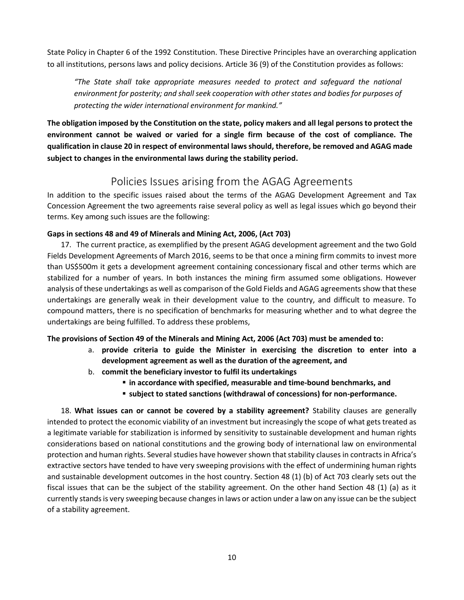State Policy in Chapter 6 of the 1992 Constitution. These Directive Principles have an overarching application to all institutions, persons laws and policy decisions. Article 36 (9) of the Constitution provides as follows:

*"The State shall take appropriate measures needed to protect and safeguard the national environment for posterity; and shall seek cooperation with other states and bodies for purposes of protecting the wider international environment for mankind."*

**The obligation imposed by the Constitution on the state, policy makers and all legal persons to protect the environment cannot be waived or varied for a single firm because of the cost of compliance. The qualification in clause 20 in respect of environmental laws should, therefore, be removed and AGAG made subject to changes in the environmental laws during the stability period.**

# Policies Issues arising from the AGAG Agreements

In addition to the specific issues raised about the terms of the AGAG Development Agreement and Tax Concession Agreement the two agreements raise several policy as well as legal issues which go beyond their terms. Key among such issues are the following:

## **Gaps in sections 48 and 49 of Minerals and Mining Act, 2006, (Act 703)**

17. The current practice, as exemplified by the present AGAG development agreement and the two Gold Fields Development Agreements of March 2016, seems to be that once a mining firm commits to invest more than US\$500m it gets a development agreement containing concessionary fiscal and other terms which are stabilized for a number of years. In both instances the mining firm assumed some obligations. However analysis of these undertakings as well as comparison of the Gold Fields and AGAG agreements show that these undertakings are generally weak in their development value to the country, and difficult to measure. To compound matters, there is no specification of benchmarks for measuring whether and to what degree the undertakings are being fulfilled. To address these problems,

## **The provisions of Section 49 of the Minerals and Mining Act, 2006 (Act 703) must be amended to:**

- a. **provide criteria to guide the Minister in exercising the discretion to enter into a development agreement as well as the duration of the agreement, and**
- b. **commit the beneficiary investor to fulfil its undertakings** 
	- $\blacksquare$  **in accordance with specified, measurable and time-bound benchmarks, and**
	- **subject to stated sanctions (withdrawal of concessions) for non-performance.**

18. **What issues can or cannot be covered by a stability agreement?** Stability clauses are generally intended to protect the economic viability of an investment but increasingly the scope of what gets treated as a legitimate variable for stabilization is informed by sensitivity to sustainable development and human rights considerations based on national constitutions and the growing body of international law on environmental protection and human rights. Several studies have however shown that stability clauses in contracts in Africa's extractive sectors have tended to have very sweeping provisions with the effect of undermining human rights and sustainable development outcomes in the host country. Section 48 (1) (b) of Act 703 clearly sets out the fiscal issues that can be the subject of the stability agreement. On the other hand Section 48 (1) (a) as it currently stands is very sweeping because changes in laws or action under a law on any issue can be the subject of a stability agreement.